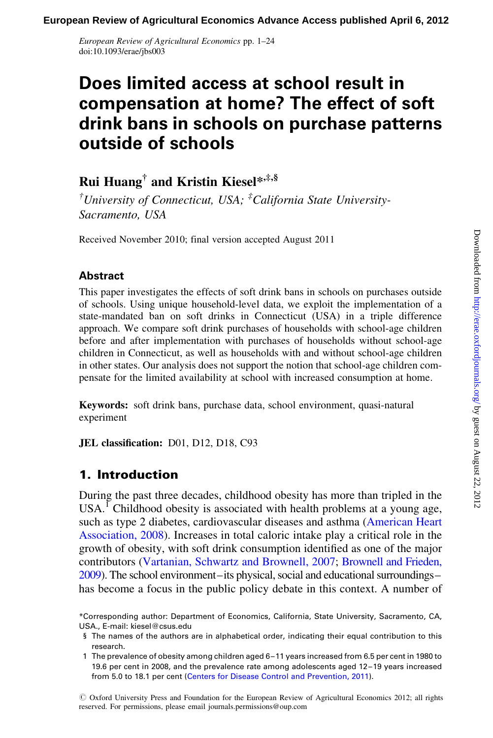European Review of Agricultural Economics pp. 1–24 doi:10.1093/erae/jbs003

# Does limited access at school result in compensation at home? The effect of soft drink bans in schools on purchase patterns outside of schools

## Rui Huang† and Kristin Kiesel\*,‡,§

<sup>†</sup>University of Connecticut, USA;  $^{\ddagger}$ California State University-Sacramento, USA

Received November 2010; final version accepted August 2011

## **Abstract**

This paper investigates the effects of soft drink bans in schools on purchases outside of schools. Using unique household-level data, we exploit the implementation of a state-mandated ban on soft drinks in Connecticut (USA) in a triple difference approach. We compare soft drink purchases of households with school-age children before and after implementation with purchases of households without school-age children in Connecticut, as well as households with and without school-age children in other states. Our analysis does not support the notion that school-age children compensate for the limited availability at school with increased consumption at home.

Keywords: soft drink bans, purchase data, school environment, quasi-natural experiment

JEL classification: D01, D12, D18, C93

## 1. Introduction

During the past three decades, childhood obesity has more than tripled in the  $USA<sup>1</sup>$  Childhood obesity is associated with health problems at a young age, such as type 2 diabetes, cardiovascular diseases and asthma [\(American Heart](#page-21-0) [Association, 2008](#page-21-0)). Increases in total caloric intake play a critical role in the growth of obesity, with soft drink consumption identified as one of the major contributors [\(Vartanian, Schwartz and Brownell, 2007](#page-23-0); [Brownell and Frieden,](#page-22-0) [2009\)](#page-22-0). The school environment–its physical, social and educational surroundings– has become a focus in the public policy debate in this context. A number of

<sup>\*</sup>Corresponding author: Department of Economics, California, State University, Sacramento, CA, USA., E-mail: kiesel@csus.edu

<sup>§</sup> The names of the authors are in alphabetical order, indicating their equal contribution to this research.

<sup>1</sup> The prevalence of obesity among children aged 6–11 years increased from 6.5 per cent in 1980 to 19.6 per cent in 2008, and the prevalence rate among adolescents aged 12–19 years increased from 5.0 to 18.1 per cent [\(Centers for Disease Control and Prevention, 2011](#page-22-0)).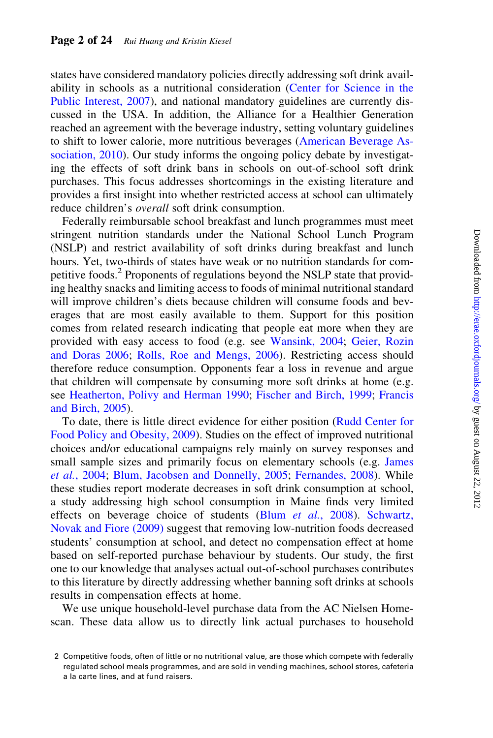states have considered mandatory policies directly addressing soft drink availability in schools as a nutritional consideration ([Center for Science in the](#page-22-0) [Public Interest, 2007\)](#page-22-0), and national mandatory guidelines are currently discussed in the USA. In addition, the Alliance for a Healthier Generation reached an agreement with the beverage industry, setting voluntary guidelines to shift to lower calorie, more nutritious beverages ([American Beverage As](#page-21-0)[sociation, 2010\)](#page-21-0). Our study informs the ongoing policy debate by investigating the effects of soft drink bans in schools on out-of-school soft drink purchases. This focus addresses shortcomings in the existing literature and provides a first insight into whether restricted access at school can ultimately reduce children's overall soft drink consumption.

Federally reimbursable school breakfast and lunch programmes must meet stringent nutrition standards under the National School Lunch Program (NSLP) and restrict availability of soft drinks during breakfast and lunch hours. Yet, two-thirds of states have weak or no nutrition standards for competitive foods.<sup>2</sup> Proponents of regulations beyond the NSLP state that providing healthy snacks and limiting access to foods of minimal nutritional standard will improve children's diets because children will consume foods and beverages that are most easily available to them. Support for this position comes from related research indicating that people eat more when they are provided with easy access to food (e.g. see [Wansink, 2004](#page-23-0); [Geier, Rozin](#page-22-0) [and Doras 2006;](#page-22-0) [Rolls, Roe and Mengs, 2006](#page-22-0)). Restricting access should therefore reduce consumption. Opponents fear a loss in revenue and argue that children will compensate by consuming more soft drinks at home (e.g. see [Heatherton, Polivy and Herman 1990](#page-22-0); [Fischer and Birch, 1999;](#page-22-0) [Francis](#page-22-0) [and Birch, 2005\)](#page-22-0).

To date, there is little direct evidence for either position ([Rudd Center for](#page-23-0) [Food Policy and Obesity, 2009\)](#page-23-0). Studies on the effect of improved nutritional choices and/or educational campaigns rely mainly on survey responses and small sample sizes and primarily focus on elementary schools (e.g. [James](#page-22-0) et al.[, 2004;](#page-22-0) [Blum, Jacobsen and Donnelly, 2005](#page-22-0); [Fernandes, 2008\)](#page-22-0). While these studies report moderate decreases in soft drink consumption at school, a study addressing high school consumption in Maine finds very limited effects on beverage choice of students (Blum et al.[, 2008](#page-22-0)). [Schwartz,](#page-23-0) [Novak and Fiore \(2009\)](#page-23-0) suggest that removing low-nutrition foods decreased students' consumption at school, and detect no compensation effect at home based on self-reported purchase behaviour by students. Our study, the first one to our knowledge that analyses actual out-of-school purchases contributes to this literature by directly addressing whether banning soft drinks at schools results in compensation effects at home.

We use unique household-level purchase data from the AC Nielsen Homescan. These data allow us to directly link actual purchases to household

<sup>2</sup> Competitive foods, often of little or no nutritional value, are those which compete with federally regulated school meals programmes, and are sold in vending machines, school stores, cafeteria a la carte lines, and at fund raisers.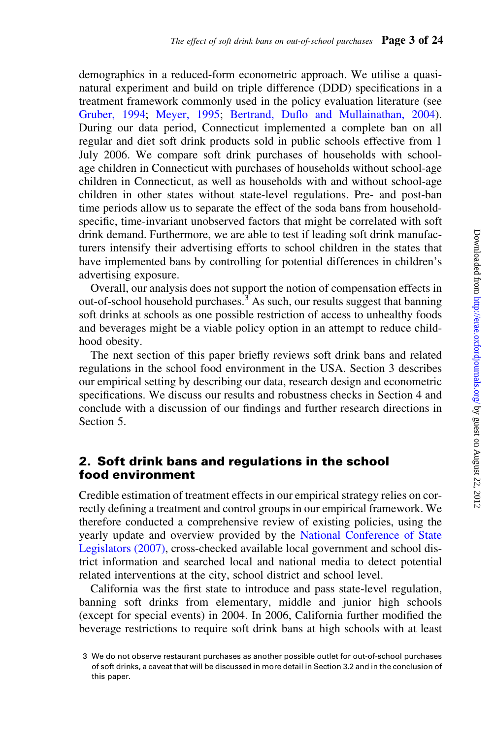demographics in a reduced-form econometric approach. We utilise a quasinatural experiment and build on triple difference (DDD) specifications in a treatment framework commonly used in the policy evaluation literature (see [Gruber, 1994;](#page-22-0) [Meyer, 1995](#page-22-0); [Bertrand, Duflo and Mullainathan, 2004\)](#page-21-0). During our data period, Connecticut implemented a complete ban on all regular and diet soft drink products sold in public schools effective from 1 July 2006. We compare soft drink purchases of households with schoolage children in Connecticut with purchases of households without school-age children in Connecticut, as well as households with and without school-age children in other states without state-level regulations. Pre- and post-ban time periods allow us to separate the effect of the soda bans from householdspecific, time-invariant unobserved factors that might be correlated with soft drink demand. Furthermore, we are able to test if leading soft drink manufacturers intensify their advertising efforts to school children in the states that have implemented bans by controlling for potential differences in children's advertising exposure.

Overall, our analysis does not support the notion of compensation effects in out-of-school household purchases.  $3\overline{)}$  As such, our results suggest that banning soft drinks at schools as one possible restriction of access to unhealthy foods and beverages might be a viable policy option in an attempt to reduce childhood obesity.

The next section of this paper briefly reviews soft drink bans and related regulations in the school food environment in the USA. Section 3 describes our empirical setting by describing our data, research design and econometric specifications. We discuss our results and robustness checks in Section 4 and conclude with a discussion of our findings and further research directions in Section 5.

## 2. Soft drink bans and regulations in the school food environment

Credible estimation of treatment effects in our empirical strategy relies on correctly defining a treatment and control groups in our empirical framework. We therefore conducted a comprehensive review of existing policies, using the yearly update and overview provided by the [National Conference of State](#page-22-0) [Legislators \(2007\)](#page-22-0), cross-checked available local government and school district information and searched local and national media to detect potential related interventions at the city, school district and school level.

California was the first state to introduce and pass state-level regulation, banning soft drinks from elementary, middle and junior high schools (except for special events) in 2004. In 2006, California further modified the beverage restrictions to require soft drink bans at high schools with at least

<sup>3</sup> We do not observe restaurant purchases as another possible outlet for out-of-school purchases of soft drinks, a caveat that will be discussed in more detail in Section 3.2 and in the conclusion of this paper.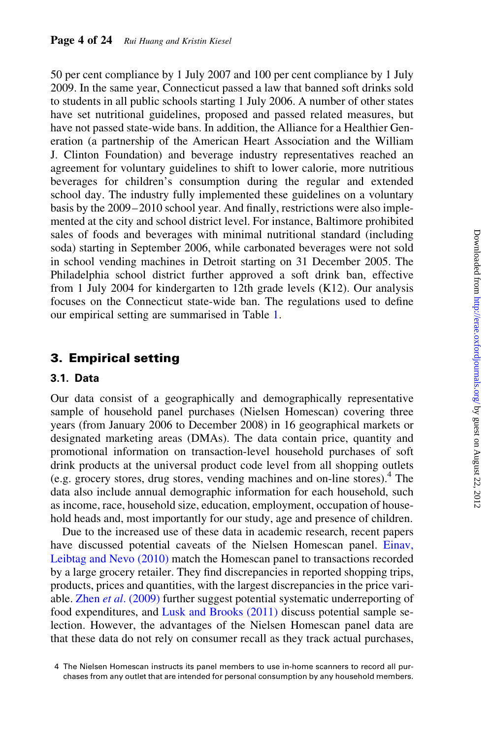50 per cent compliance by 1 July 2007 and 100 per cent compliance by 1 July 2009. In the same year, Connecticut passed a law that banned soft drinks sold to students in all public schools starting 1 July 2006. A number of other states have set nutritional guidelines, proposed and passed related measures, but have not passed state-wide bans. In addition, the Alliance for a Healthier Generation (a partnership of the American Heart Association and the William J. Clinton Foundation) and beverage industry representatives reached an agreement for voluntary guidelines to shift to lower calorie, more nutritious beverages for children's consumption during the regular and extended school day. The industry fully implemented these guidelines on a voluntary basis by the 2009–2010 school year. And finally, restrictions were also implemented at the city and school district level. For instance, Baltimore prohibited sales of foods and beverages with minimal nutritional standard (including soda) starting in September 2006, while carbonated beverages were not sold in school vending machines in Detroit starting on 31 December 2005. The Philadelphia school district further approved a soft drink ban, effective from 1 July 2004 for kindergarten to 12th grade levels (K12). Our analysis focuses on the Connecticut state-wide ban. The regulations used to define our empirical setting are summarised in Table [1](#page-4-0).

## 3. Empirical setting

## 3.1. Data

Our data consist of a geographically and demographically representative sample of household panel purchases (Nielsen Homescan) covering three years (from January 2006 to December 2008) in 16 geographical markets or designated marketing areas (DMAs). The data contain price, quantity and promotional information on transaction-level household purchases of soft drink products at the universal product code level from all shopping outlets (e.g. grocery stores, drug stores, vending machines and on-line stores).4 The data also include annual demographic information for each household, such as income, race, household size, education, employment, occupation of household heads and, most importantly for our study, age and presence of children.

Due to the increased use of these data in academic research, recent papers have discussed potential caveats of the Nielsen Homescan panel. [Einav,](#page-22-0) [Leibtag and Nevo \(2010\)](#page-22-0) match the Homescan panel to transactions recorded by a large grocery retailer. They find discrepancies in reported shopping trips, products, prices and quantities, with the largest discrepancies in the price variable. Zhen et al[. \(2009\)](#page-23-0) further suggest potential systematic underreporting of food expenditures, and [Lusk and Brooks \(2011\)](#page-22-0) discuss potential sample selection. However, the advantages of the Nielsen Homescan panel data are that these data do not rely on consumer recall as they track actual purchases,

4 The Nielsen Homescan instructs its panel members to use in-home scanners to record all purchases from any outlet that are intended for personal consumption by any household members.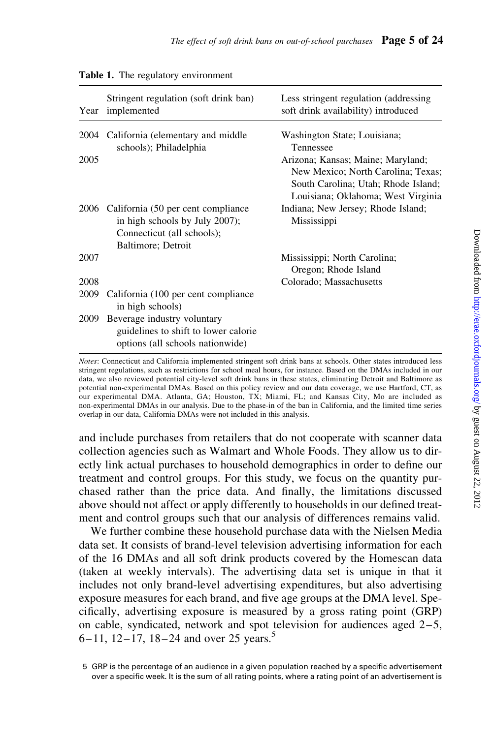| Year | Stringent regulation (soft drink ban)<br>implemented                                                                           | Less stringent regulation (addressing)<br>soft drink availability) introduced                                                                        |
|------|--------------------------------------------------------------------------------------------------------------------------------|------------------------------------------------------------------------------------------------------------------------------------------------------|
| 2004 | California (elementary and middle<br>schools); Philadelphia                                                                    | Washington State; Louisiana;<br>Tennessee                                                                                                            |
| 2005 |                                                                                                                                | Arizona; Kansas; Maine; Maryland;<br>New Mexico; North Carolina; Texas;<br>South Carolina; Utah; Rhode Island;<br>Louisiana; Oklahoma; West Virginia |
|      | 2006 California (50 per cent compliance)<br>in high schools by July 2007);<br>Connecticut (all schools):<br>Baltimore; Detroit | Indiana; New Jersey; Rhode Island;<br>Mississippi                                                                                                    |
| 2007 |                                                                                                                                | Mississippi; North Carolina;<br>Oregon; Rhode Island                                                                                                 |
| 2008 |                                                                                                                                | Colorado; Massachusetts                                                                                                                              |
| 2009 | California (100 per cent compliance)<br>in high schools)                                                                       |                                                                                                                                                      |
| 2009 | Beverage industry voluntary<br>guidelines to shift to lower calorie<br>options (all schools nationwide)                        |                                                                                                                                                      |

<span id="page-4-0"></span>Table 1. The regulatory environment

Notes: Connecticut and California implemented stringent soft drink bans at schools. Other states introduced less stringent regulations, such as restrictions for school meal hours, for instance. Based on the DMAs included in our data, we also reviewed potential city-level soft drink bans in these states, eliminating Detroit and Baltimore as potential non-experimental DMAs. Based on this policy review and our data coverage, we use Hartford, CT, as our experimental DMA. Atlanta, GA; Houston, TX; Miami, FL; and Kansas City, Mo are included as non-experimental DMAs in our analysis. Due to the phase-in of the ban in California, and the limited time series overlap in our data, California DMAs were not included in this analysis.

and include purchases from retailers that do not cooperate with scanner data collection agencies such as Walmart and Whole Foods. They allow us to directly link actual purchases to household demographics in order to define our treatment and control groups. For this study, we focus on the quantity purchased rather than the price data. And finally, the limitations discussed above should not affect or apply differently to households in our defined treatment and control groups such that our analysis of differences remains valid.

We further combine these household purchase data with the Nielsen Media data set. It consists of brand-level television advertising information for each of the 16 DMAs and all soft drink products covered by the Homescan data (taken at weekly intervals). The advertising data set is unique in that it includes not only brand-level advertising expenditures, but also advertising exposure measures for each brand, and five age groups at the DMA level. Specifically, advertising exposure is measured by a gross rating point (GRP) on cable, syndicated, network and spot television for audiences aged  $2-5$ , 6–11, 12–17, 18–24 and over 25 years.<sup>5</sup>

5 GRP is the percentage of an audience in a given population reached by a specific advertisement over a specific week. It is the sum of all rating points, where a rating point of an advertisement is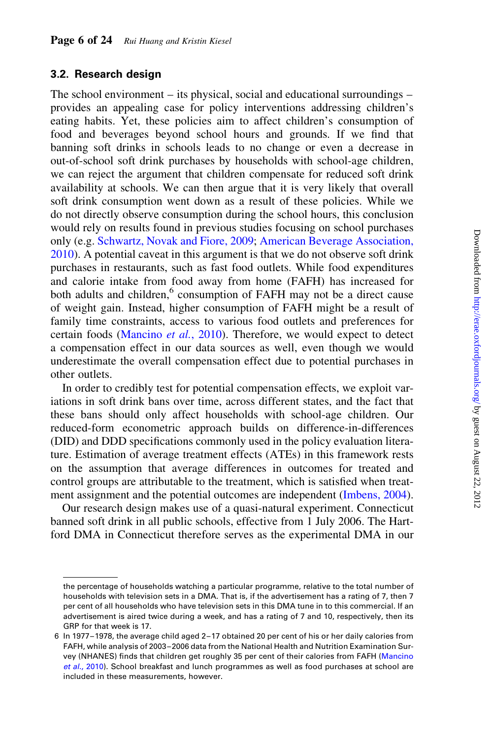## 3.2. Research design

The school environment – its physical, social and educational surroundings – provides an appealing case for policy interventions addressing children's eating habits. Yet, these policies aim to affect children's consumption of food and beverages beyond school hours and grounds. If we find that banning soft drinks in schools leads to no change or even a decrease in out-of-school soft drink purchases by households with school-age children, we can reject the argument that children compensate for reduced soft drink availability at schools. We can then argue that it is very likely that overall soft drink consumption went down as a result of these policies. While we do not directly observe consumption during the school hours, this conclusion would rely on results found in previous studies focusing on school purchases only (e.g. [Schwartz, Novak and Fiore, 2009;](#page-23-0) [American Beverage Association,](#page-21-0) [2010](#page-21-0)). A potential caveat in this argument is that we do not observe soft drink purchases in restaurants, such as fast food outlets. While food expenditures and calorie intake from food away from home (FAFH) has increased for both adults and children,<sup>6</sup> consumption of FAFH may not be a direct cause of weight gain. Instead, higher consumption of FAFH might be a result of family time constraints, access to various food outlets and preferences for certain foods [\(Mancino](#page-22-0) et al., 2010). Therefore, we would expect to detect a compensation effect in our data sources as well, even though we would underestimate the overall compensation effect due to potential purchases in other outlets.

In order to credibly test for potential compensation effects, we exploit variations in soft drink bans over time, across different states, and the fact that these bans should only affect households with school-age children. Our reduced-form econometric approach builds on difference-in-differences (DID) and DDD specifications commonly used in the policy evaluation literature. Estimation of average treatment effects (ATEs) in this framework rests on the assumption that average differences in outcomes for treated and control groups are attributable to the treatment, which is satisfied when treat-ment assignment and the potential outcomes are independent [\(Imbens, 2004](#page-22-0)).

Our research design makes use of a quasi-natural experiment. Connecticut banned soft drink in all public schools, effective from 1 July 2006. The Hartford DMA in Connecticut therefore serves as the experimental DMA in our

the percentage of households watching a particular programme, relative to the total number of households with television sets in a DMA. That is, if the advertisement has a rating of 7, then 7 per cent of all households who have television sets in this DMA tune in to this commercial. If an advertisement is aired twice during a week, and has a rating of 7 and 10, respectively, then its GRP for that week is 17.

<sup>6</sup> In 1977–1978, the average child aged 2–17 obtained 20 per cent of his or her daily calories from FAFH, while analysis of 2003–2006 data from the National Health and Nutrition Examination Survey (NHANES) finds that children get roughly 35 per cent of their calories from FAFH [\(Mancino](#page-22-0) et al.[, 2010\)](#page-22-0). School breakfast and lunch programmes as well as food purchases at school are included in these measurements, however.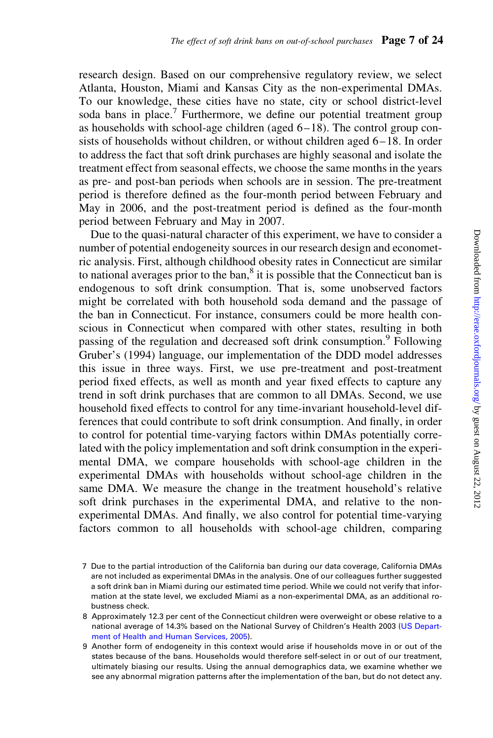research design. Based on our comprehensive regulatory review, we select Atlanta, Houston, Miami and Kansas City as the non-experimental DMAs. To our knowledge, these cities have no state, city or school district-level soda bans in place.<sup>7</sup> Furthermore, we define our potential treatment group as households with school-age children (aged 6–18). The control group consists of households without children, or without children aged 6–18. In order to address the fact that soft drink purchases are highly seasonal and isolate the treatment effect from seasonal effects, we choose the same months in the years as pre- and post-ban periods when schools are in session. The pre-treatment period is therefore defined as the four-month period between February and May in 2006, and the post-treatment period is defined as the four-month period between February and May in 2007.

Due to the quasi-natural character of this experiment, we have to consider a number of potential endogeneity sources in our research design and econometric analysis. First, although childhood obesity rates in Connecticut are similar to national averages prior to the ban, $^8$  it is possible that the Connecticut ban is endogenous to soft drink consumption. That is, some unobserved factors might be correlated with both household soda demand and the passage of the ban in Connecticut. For instance, consumers could be more health conscious in Connecticut when compared with other states, resulting in both passing of the regulation and decreased soft drink consumption.<sup>9</sup> Following Gruber's (1994) language, our implementation of the DDD model addresses this issue in three ways. First, we use pre-treatment and post-treatment period fixed effects, as well as month and year fixed effects to capture any trend in soft drink purchases that are common to all DMAs. Second, we use household fixed effects to control for any time-invariant household-level differences that could contribute to soft drink consumption. And finally, in order to control for potential time-varying factors within DMAs potentially correlated with the policy implementation and soft drink consumption in the experimental DMA, we compare households with school-age children in the experimental DMAs with households without school-age children in the same DMA. We measure the change in the treatment household's relative soft drink purchases in the experimental DMA, and relative to the nonexperimental DMAs. And finally, we also control for potential time-varying factors common to all households with school-age children, comparing

<sup>7</sup> Due to the partial introduction of the California ban during our data coverage, California DMAs are not included as experimental DMAs in the analysis. One of our colleagues further suggested a soft drink ban in Miami during our estimated time period. While we could not verify that information at the state level, we excluded Miami as a non-experimental DMA, as an additional robustness check.

<sup>8</sup> Approximately 12.3 per cent of the Connecticut children were overweight or obese relative to a national average of 14.3% based on the National Survey of Children's Health 2003 ([US Depart](#page-23-0)[ment of Health and Human Services, 2005](#page-23-0)).

<sup>9</sup> Another form of endogeneity in this context would arise if households move in or out of the states because of the bans. Households would therefore self-select in or out of our treatment, ultimately biasing our results. Using the annual demographics data, we examine whether we see any abnormal migration patterns after the implementation of the ban, but do not detect any.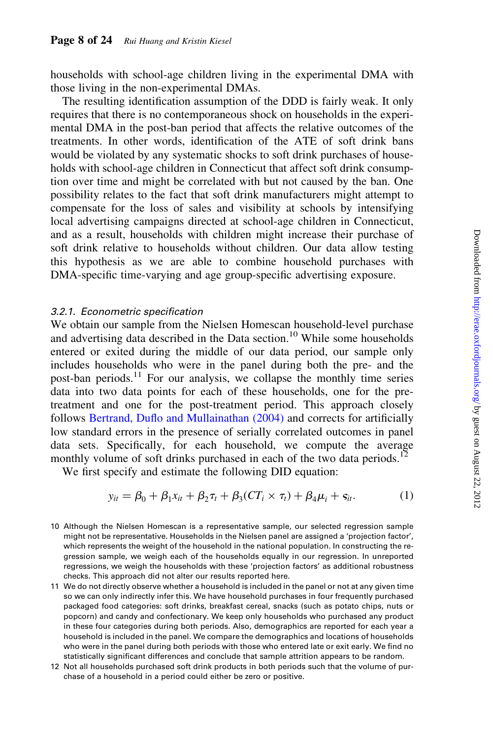households with school-age children living in the experimental DMA with those living in the non-experimental DMAs.

The resulting identification assumption of the DDD is fairly weak. It only requires that there is no contemporaneous shock on households in the experimental DMA in the post-ban period that affects the relative outcomes of the treatments. In other words, identification of the ATE of soft drink bans would be violated by any systematic shocks to soft drink purchases of households with school-age children in Connecticut that affect soft drink consumption over time and might be correlated with but not caused by the ban. One possibility relates to the fact that soft drink manufacturers might attempt to compensate for the loss of sales and visibility at schools by intensifying local advertising campaigns directed at school-age children in Connecticut, and as a result, households with children might increase their purchase of soft drink relative to households without children. Our data allow testing this hypothesis as we are able to combine household purchases with DMA-specific time-varying and age group-specific advertising exposure.

#### 3.2.1. Econometric specification

We obtain our sample from the Nielsen Homescan household-level purchase and advertising data described in the Data section.<sup>10</sup> While some households entered or exited during the middle of our data period, our sample only includes households who were in the panel during both the pre- and the post-ban periods.11 For our analysis, we collapse the monthly time series data into two data points for each of these households, one for the pretreatment and one for the post-treatment period. This approach closely follows [Bertrand, Duflo and Mullainathan \(2004\)](#page-21-0) and corrects for artificially low standard errors in the presence of serially correlated outcomes in panel data sets. Specifically, for each household, we compute the average monthly volume of soft drinks purchased in each of the two data periods.<sup>12</sup>

We first specify and estimate the following DID equation:

$$
y_{it} = \beta_0 + \beta_1 x_{it} + \beta_2 \tau_t + \beta_3 (CT_i \times \tau_t) + \beta_4 \mu_i + s_{it}. \tag{1}
$$

- 10 Although the Nielsen Homescan is a representative sample, our selected regression sample might not be representative. Households in the Nielsen panel are assigned a 'projection factor', which represents the weight of the household in the national population. In constructing the regression sample, we weigh each of the households equally in our regression. In unreported regressions, we weigh the households with these 'projection factors' as additional robustness checks. This approach did not alter our results reported here.
- 11 We do not directly observe whether a household is included in the panel or not at any given time so we can only indirectly infer this. We have household purchases in four frequently purchased packaged food categories: soft drinks, breakfast cereal, snacks (such as potato chips, nuts or popcorn) and candy and confectionary. We keep only households who purchased any product in these four categories during both periods. Also, demographics are reported for each year a household is included in the panel. We compare the demographics and locations of households who were in the panel during both periods with those who entered late or exit early. We find no statistically significant differences and conclude that sample attrition appears to be random.
- 12 Not all households purchased soft drink products in both periods such that the volume of purchase of a household in a period could either be zero or positive.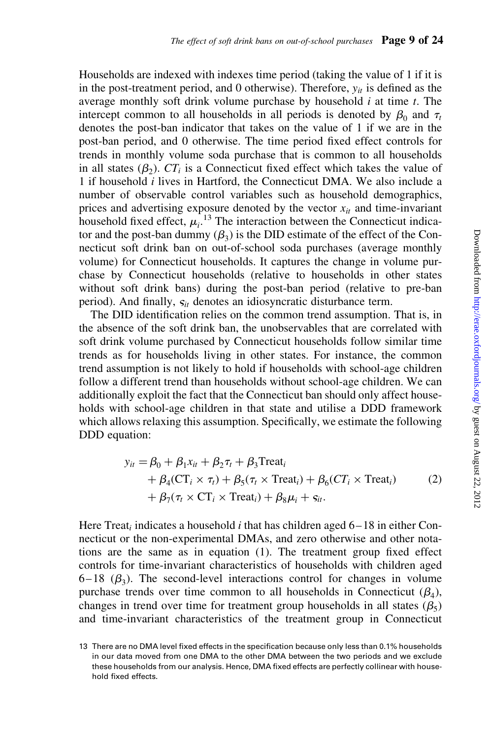Households are indexed with indexes time period (taking the value of 1 if it is in the post-treatment period, and 0 otherwise). Therefore,  $y_{it}$  is defined as the average monthly soft drink volume purchase by household  $i$  at time  $t$ . The intercept common to all households in all periods is denoted by  $\beta_0$  and  $\tau_t$ denotes the post-ban indicator that takes on the value of 1 if we are in the post-ban period, and 0 otherwise. The time period fixed effect controls for trends in monthly volume soda purchase that is common to all households in all states ( $\beta_2$ ).  $CT_i$  is a Connecticut fixed effect which takes the value of 1 if household i lives in Hartford, the Connecticut DMA. We also include a number of observable control variables such as household demographics, prices and advertising exposure denoted by the vector  $x_{it}$  and time-invariant household fixed effect,  $\mu_i$ <sup>13</sup> The interaction between the Connecticut indicator and the post-ban dummy  $(\beta_3)$  is the DID estimate of the effect of the Connecticut soft drink ban on out-of-school soda purchases (average monthly volume) for Connecticut households. It captures the change in volume purchase by Connecticut households (relative to households in other states without soft drink bans) during the post-ban period (relative to pre-ban period). And finally,  $s_{it}$  denotes an idiosyncratic disturbance term.

The DID identification relies on the common trend assumption. That is, in the absence of the soft drink ban, the unobservables that are correlated with soft drink volume purchased by Connecticut households follow similar time trends as for households living in other states. For instance, the common trend assumption is not likely to hold if households with school-age children follow a different trend than households without school-age children. We can additionally exploit the fact that the Connecticut ban should only affect households with school-age children in that state and utilise a DDD framework which allows relaxing this assumption. Specifically, we estimate the following DDD equation:

$$
y_{it} = \beta_0 + \beta_1 x_{it} + \beta_2 \tau_t + \beta_3 \text{Treat}_i
$$
  
+  $\beta_4 (\text{CT}_i \times \tau_t) + \beta_5 (\tau_t \times \text{Treat}_i) + \beta_6 (\text{CT}_i \times \text{Treat}_i)$   
+  $\beta_7 (\tau_t \times \text{CT}_i \times \text{Treat}_i) + \beta_8 \mu_i + s_{it}.$  (2)

Here Treat<sub>i</sub> indicates a household *i* that has children aged  $6-18$  in either Connecticut or the non-experimental DMAs, and zero otherwise and other notations are the same as in equation (1). The treatment group fixed effect controls for time-invariant characteristics of households with children aged  $6-18$  ( $\beta_3$ ). The second-level interactions control for changes in volume purchase trends over time common to all households in Connecticut  $(\beta_4)$ , changes in trend over time for treatment group households in all states  $(\beta_5)$ and time-invariant characteristics of the treatment group in Connecticut

<sup>13</sup> There are no DMA level fixed effects in the specification because only less than 0.1% households in our data moved from one DMA to the other DMA between the two periods and we exclude these households from our analysis. Hence, DMA fixed effects are perfectly collinear with household fixed effects.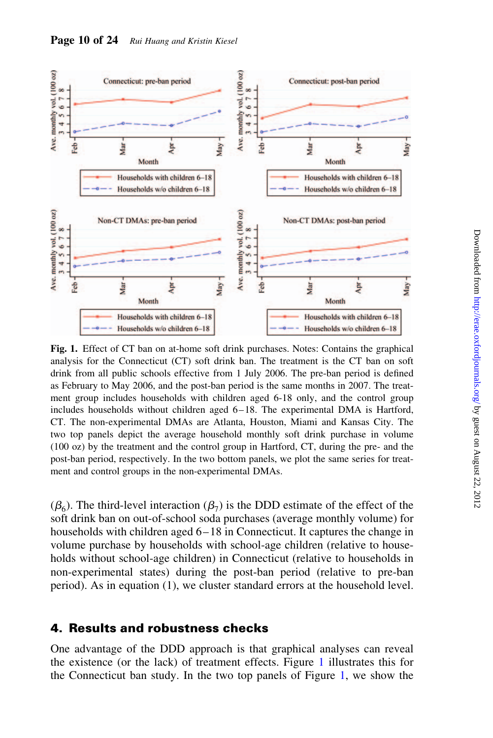

Fig. 1. Effect of CT ban on at-home soft drink purchases. Notes: Contains the graphical analysis for the Connecticut (CT) soft drink ban. The treatment is the CT ban on soft drink from all public schools effective from 1 July 2006. The pre-ban period is defined as February to May 2006, and the post-ban period is the same months in 2007. The treatment group includes households with children aged 6-18 only, and the control group includes households without children aged 6 –18. The experimental DMA is Hartford, CT. The non-experimental DMAs are Atlanta, Houston, Miami and Kansas City. The two top panels depict the average household monthly soft drink purchase in volume (100 oz) by the treatment and the control group in Hartford, CT, during the pre- and the post-ban period, respectively. In the two bottom panels, we plot the same series for treatment and control groups in the non-experimental DMAs.

 $(\beta_6)$ . The third-level interaction  $(\beta_7)$  is the DDD estimate of the effect of the soft drink ban on out-of-school soda purchases (average monthly volume) for households with children aged  $6-18$  in Connecticut. It captures the change in volume purchase by households with school-age children (relative to households without school-age children) in Connecticut (relative to households in non-experimental states) during the post-ban period (relative to pre-ban period). As in equation (1), we cluster standard errors at the household level.

### 4. Results and robustness checks

One advantage of the DDD approach is that graphical analyses can reveal the existence (or the lack) of treatment effects. Figure 1 illustrates this for the Connecticut ban study. In the two top panels of Figure 1, we show the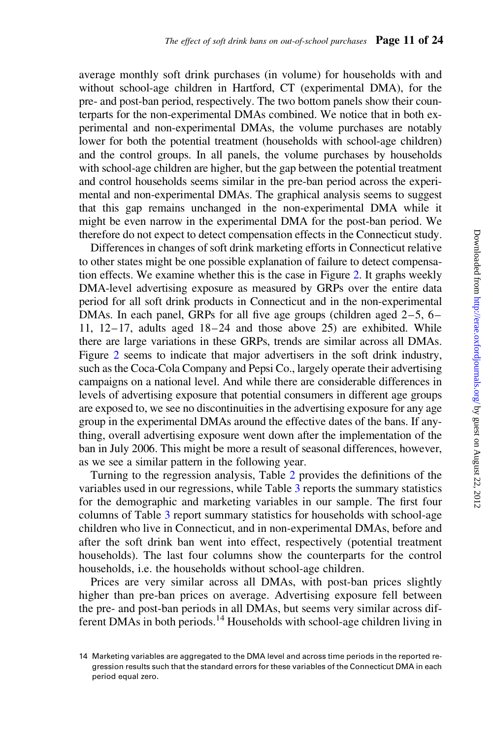average monthly soft drink purchases (in volume) for households with and without school-age children in Hartford, CT (experimental DMA), for the pre- and post-ban period, respectively. The two bottom panels show their counterparts for the non-experimental DMAs combined. We notice that in both experimental and non-experimental DMAs, the volume purchases are notably lower for both the potential treatment (households with school-age children) and the control groups. In all panels, the volume purchases by households with school-age children are higher, but the gap between the potential treatment and control households seems similar in the pre-ban period across the experimental and non-experimental DMAs. The graphical analysis seems to suggest that this gap remains unchanged in the non-experimental DMA while it might be even narrow in the experimental DMA for the post-ban period. We therefore do not expect to detect compensation effects in the Connecticut study.

Differences in changes of soft drink marketing efforts in Connecticut relative to other states might be one possible explanation of failure to detect compensation effects. We examine whether this is the case in Figure [2](#page-11-0). It graphs weekly DMA-level advertising exposure as measured by GRPs over the entire data period for all soft drink products in Connecticut and in the non-experimental DMAs. In each panel, GRPs for all five age groups (children aged 2–5, 6– 11, 12–17, adults aged 18–24 and those above 25) are exhibited. While there are large variations in these GRPs, trends are similar across all DMAs. Figure [2](#page-11-0) seems to indicate that major advertisers in the soft drink industry, such as the Coca-Cola Company and Pepsi Co., largely operate their advertising campaigns on a national level. And while there are considerable differences in levels of advertising exposure that potential consumers in different age groups are exposed to, we see no discontinuities in the advertising exposure for any age group in the experimental DMAs around the effective dates of the bans. If anything, overall advertising exposure went down after the implementation of the ban in July 2006. This might be more a result of seasonal differences, however, as we see a similar pattern in the following year.

Turning to the regression analysis, Table [2](#page-12-0) provides the definitions of the variables used in our regressions, while Table [3](#page-13-0) reports the summary statistics for the demographic and marketing variables in our sample. The first four columns of Table [3](#page-13-0) report summary statistics for households with school-age children who live in Connecticut, and in non-experimental DMAs, before and after the soft drink ban went into effect, respectively (potential treatment households). The last four columns show the counterparts for the control households, i.e. the households without school-age children.

Prices are very similar across all DMAs, with post-ban prices slightly higher than pre-ban prices on average. Advertising exposure fell between the pre- and post-ban periods in all DMAs, but seems very similar across different DMAs in both periods.14 Households with school-age children living in

<sup>14</sup> Marketing variables are aggregated to the DMA level and across time periods in the reported regression results such that the standard errors for these variables of the Connecticut DMA in each period equal zero.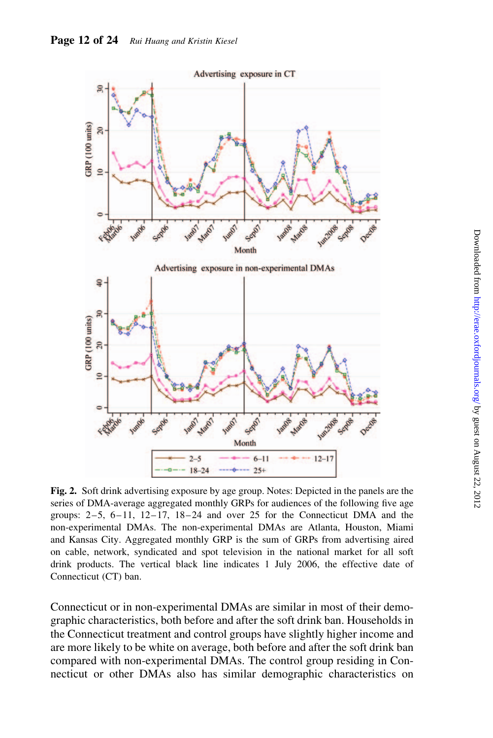<span id="page-11-0"></span>

Fig. 2. Soft drink advertising exposure by age group. Notes: Depicted in the panels are the series of DMA-average aggregated monthly GRPs for audiences of the following five age groups:  $2-5$ ,  $6-11$ ,  $12-17$ ,  $18-24$  and over 25 for the Connecticut DMA and the non-experimental DMAs. The non-experimental DMAs are Atlanta, Houston, Miami and Kansas City. Aggregated monthly GRP is the sum of GRPs from advertising aired on cable, network, syndicated and spot television in the national market for all soft drink products. The vertical black line indicates 1 July 2006, the effective date of Connecticut (CT) ban.

Connecticut or in non-experimental DMAs are similar in most of their demographic characteristics, both before and after the soft drink ban. Households in the Connecticut treatment and control groups have slightly higher income and are more likely to be white on average, both before and after the soft drink ban compared with non-experimental DMAs. The control group residing in Connecticut or other DMAs also has similar demographic characteristics on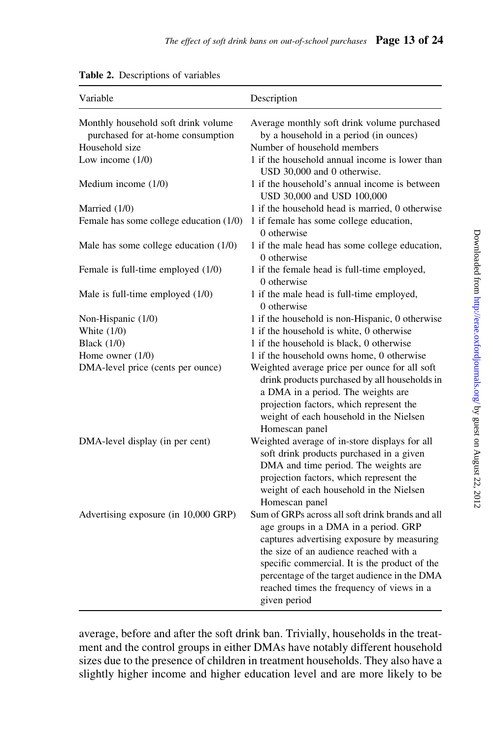| Variable                                                                                   | Description                                                                                                                                                                                                                                                                                                                                    |
|--------------------------------------------------------------------------------------------|------------------------------------------------------------------------------------------------------------------------------------------------------------------------------------------------------------------------------------------------------------------------------------------------------------------------------------------------|
| Monthly household soft drink volume<br>purchased for at-home consumption<br>Household size | Average monthly soft drink volume purchased<br>by a household in a period (in ounces)<br>Number of household members                                                                                                                                                                                                                           |
| Low income $(1/0)$                                                                         | 1 if the household annual income is lower than                                                                                                                                                                                                                                                                                                 |
|                                                                                            | USD 30,000 and 0 otherwise.                                                                                                                                                                                                                                                                                                                    |
| Medium income (1/0)                                                                        | 1 if the household's annual income is between<br>USD 30,000 and USD 100,000                                                                                                                                                                                                                                                                    |
| Married (1/0)                                                                              | 1 if the household head is married, 0 otherwise                                                                                                                                                                                                                                                                                                |
| Female has some college education (1/0)                                                    | 1 if female has some college education,<br>0 otherwise                                                                                                                                                                                                                                                                                         |
| Male has some college education (1/0)                                                      | 1 if the male head has some college education,<br>0 otherwise                                                                                                                                                                                                                                                                                  |
| Female is full-time employed (1/0)                                                         | 1 if the female head is full-time employed,<br>0 otherwise                                                                                                                                                                                                                                                                                     |
| Male is full-time employed (1/0)                                                           | 1 if the male head is full-time employed,<br>0 otherwise                                                                                                                                                                                                                                                                                       |
| Non-Hispanic (1/0)                                                                         | 1 if the household is non-Hispanic, 0 otherwise                                                                                                                                                                                                                                                                                                |
| White $(1/0)$                                                                              | 1 if the household is white, 0 otherwise                                                                                                                                                                                                                                                                                                       |
| <b>Black</b> (1/0)                                                                         | 1 if the household is black, 0 otherwise                                                                                                                                                                                                                                                                                                       |
| Home owner $(1/0)$                                                                         | 1 if the household owns home, 0 otherwise                                                                                                                                                                                                                                                                                                      |
| DMA-level price (cents per ounce)                                                          | Weighted average price per ounce for all soft<br>drink products purchased by all households in<br>a DMA in a period. The weights are<br>projection factors, which represent the<br>weight of each household in the Nielsen<br>Homescan panel                                                                                                   |
| DMA-level display (in per cent)                                                            | Weighted average of in-store displays for all<br>soft drink products purchased in a given<br>DMA and time period. The weights are<br>projection factors, which represent the<br>weight of each household in the Nielsen<br>Homescan panel                                                                                                      |
| Advertising exposure (in 10,000 GRP)                                                       | Sum of GRPs across all soft drink brands and all<br>age groups in a DMA in a period. GRP<br>captures advertising exposure by measuring<br>the size of an audience reached with a<br>specific commercial. It is the product of the<br>percentage of the target audience in the DMA<br>reached times the frequency of views in a<br>given period |

<span id="page-12-0"></span>Table 2. Descriptions of variables

average, before and after the soft drink ban. Trivially, households in the treatment and the control groups in either DMAs have notably different household sizes due to the presence of children in treatment households. They also have a slightly higher income and higher education level and are more likely to be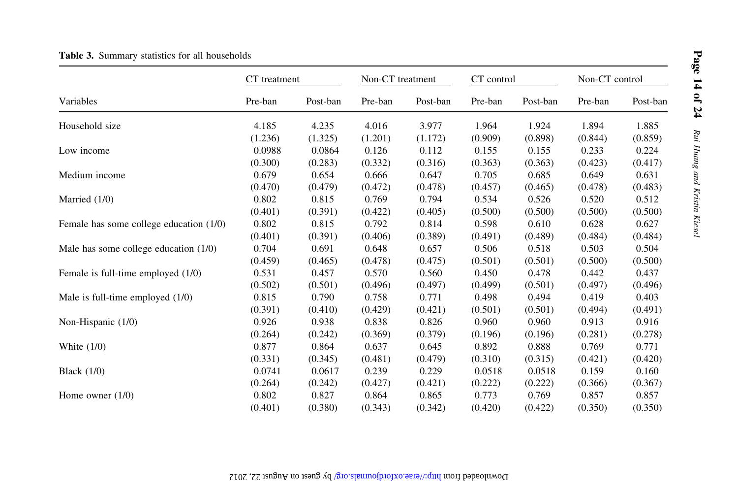|                                         | CT treatment |          | Non-CT treatment |          | CT control |          | Non-CT control |          |
|-----------------------------------------|--------------|----------|------------------|----------|------------|----------|----------------|----------|
| Variables                               | Pre-ban      | Post-ban | Pre-ban          | Post-ban | Pre-ban    | Post-ban | Pre-ban        | Post-ban |
| Household size                          | 4.185        | 4.235    | 4.016            | 3.977    | 1.964      | 1.924    | 1.894          | 1.885    |
|                                         | (1.236)      | (1.325)  | (1.201)          | (1.172)  | (0.909)    | (0.898)  | (0.844)        | (0.859)  |
| Low income                              | 0.0988       | 0.0864   | 0.126            | 0.112    | 0.155      | 0.155    | 0.233          | 0.224    |
|                                         | (0.300)      | (0.283)  | (0.332)          | (0.316)  | (0.363)    | (0.363)  | (0.423)        | (0.417)  |
| Medium income                           | 0.679        | 0.654    | 0.666            | 0.647    | 0.705      | 0.685    | 0.649          | 0.631    |
|                                         | (0.470)      | (0.479)  | (0.472)          | (0.478)  | (0.457)    | (0.465)  | (0.478)        | (0.483)  |
| Married $(1/0)$                         | 0.802        | 0.815    | 0.769            | 0.794    | 0.534      | 0.526    | 0.520          | 0.512    |
|                                         | (0.401)      | (0.391)  | (0.422)          | (0.405)  | (0.500)    | (0.500)  | (0.500)        | (0.500)  |
| Female has some college education (1/0) | 0.802        | 0.815    | 0.792            | 0.814    | 0.598      | 0.610    | 0.628          | 0.627    |
|                                         | (0.401)      | (0.391)  | (0.406)          | (0.389)  | (0.491)    | (0.489)  | (0.484)        | (0.484)  |
| Male has some college education $(1/0)$ | 0.704        | 0.691    | 0.648            | 0.657    | 0.506      | 0.518    | 0.503          | 0.504    |
|                                         | (0.459)      | (0.465)  | (0.478)          | (0.475)  | (0.501)    | (0.501)  | (0.500)        | (0.500)  |
| Female is full-time employed (1/0)      | 0.531        | 0.457    | 0.570            | 0.560    | 0.450      | 0.478    | 0.442          | 0.437    |
|                                         | (0.502)      | (0.501)  | (0.496)          | (0.497)  | (0.499)    | (0.501)  | (0.497)        | (0.496)  |
| Male is full-time employed $(1/0)$      | 0.815        | 0.790    | 0.758            | 0.771    | 0.498      | 0.494    | 0.419          | 0.403    |
|                                         | (0.391)      | (0.410)  | (0.429)          | (0.421)  | (0.501)    | (0.501)  | (0.494)        | (0.491)  |
| Non-Hispanic (1/0)                      | 0.926        | 0.938    | 0.838            | 0.826    | 0.960      | 0.960    | 0.913          | 0.916    |
|                                         | (0.264)      | (0.242)  | (0.369)          | (0.379)  | (0.196)    | (0.196)  | (0.281)        | (0.278)  |
| White $(1/0)$                           | 0.877        | 0.864    | 0.637            | 0.645    | 0.892      | 0.888    | 0.769          | 0.771    |
|                                         | (0.331)      | (0.345)  | (0.481)          | (0.479)  | (0.310)    | (0.315)  | (0.421)        | (0.420)  |
| Black $(1/0)$                           | 0.0741       | 0.0617   | 0.239            | 0.229    | 0.0518     | 0.0518   | 0.159          | 0.160    |
|                                         | (0.264)      | (0.242)  | (0.427)          | (0.421)  | (0.222)    | (0.222)  | (0.366)        | (0.367)  |
| Home owner $(1/0)$                      | 0.802        | 0.827    | 0.864            | 0.865    | 0.773      | 0.769    | 0.857          | 0.857    |
|                                         | (0.401)      | (0.380)  | (0.343)          | (0.342)  | (0.420)    | (0.422)  | (0.350)        | (0.350)  |

#### <span id="page-13-0"></span>**Table 3.** Summary statistics for all households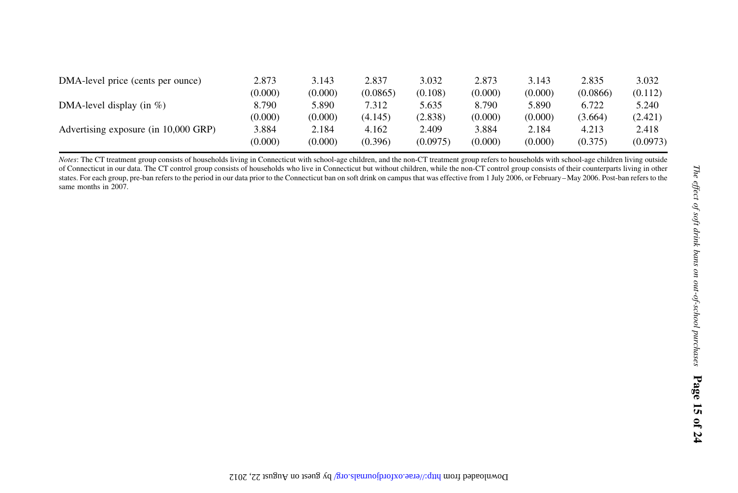| DMA-level price (cents per ounce)    | 2.873   | 3.143   | 2.837    | 3.032    | 2.873   | 3.143   | 2.835    | 3.032    |
|--------------------------------------|---------|---------|----------|----------|---------|---------|----------|----------|
|                                      | (0.000) | (0.000) | (0.0865) | (0.108)  | (0.000) | (0.000) | (0.0866) | (0.112)  |
| DMA-level display (in $\%$ )         | 8.790   | 5.890   | 7.312    | 5.635    | 8.790   | 5.890   | 6.722    | 5.240    |
|                                      | (0.000) | (0.000) | (4.145)  | (2.838)  | (0.000) | (0.000) | (3.664)  | (2.421)  |
| Advertising exposure (in 10,000 GRP) | 3.884   | 2.184   | 4.162    | 2.409    | 3.884   | 2.184   | 4.213    | 2.418    |
|                                      | (0.000) | (0.000) | (0.396)  | (0.0975) | (0.000) | (0.000) | (0.375)  | (0.0973) |

Notes: The CT treatment group consists of households living in Connecticut with school-age children, and the non-CT treatment group refers to households with school-age children living outside of Connecticut in our data. The CT control group consists of households who live in Connecticut but without children, while the non-CT control group consists of their counterparts living in other states. For each group, pre-ban refers to the period in our data prior to the Connecticut ban on soft drink on campus that was effective from 1 July 2006, or February – May 2006. Post-ban refers to the same months in 2007.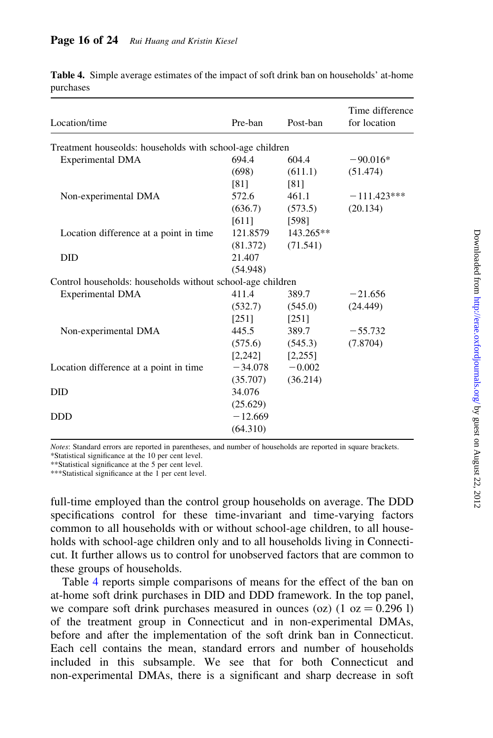#### Page 16 of 24 Rui Huang and Kristin Kiesel

| Location/time                                              | Pre-ban             | Post-ban  | Time difference<br>for location |
|------------------------------------------------------------|---------------------|-----------|---------------------------------|
| Treatment houseolds: households with school-age children   |                     |           |                                 |
| <b>Experimental DMA</b>                                    | 694.4               | 604.4     | $-90.016*$                      |
|                                                            | (698)               | (611.1)   | (51.474)                        |
|                                                            | $\lceil 81 \rceil$  | [81]      |                                 |
| Non-experimental DMA                                       | 572.6               | 461.1     | $-111.423***$                   |
|                                                            | (636.7)             | (573.5)   | (20.134)                        |
|                                                            | [611]               | [598]     |                                 |
| Location difference at a point in time                     | 121.8579            | 143.265** |                                 |
|                                                            | (81.372)            | (71.541)  |                                 |
| <b>DID</b>                                                 | 21.407              |           |                                 |
|                                                            | (54.948)            |           |                                 |
| Control households: households without school-age children |                     |           |                                 |
| <b>Experimental DMA</b>                                    | 411.4               | 389.7     | $-21.656$                       |
|                                                            | (532.7)             | (545.0)   | (24.449)                        |
|                                                            | [251]               | [251]     |                                 |
| Non-experimental DMA                                       | 445.5               | 389.7     | $-55.732$                       |
|                                                            | (575.6)             | (545.3)   | (7.8704)                        |
|                                                            | $[2,242]$ $[2,255]$ |           |                                 |
| Location difference at a point in time                     | $-34.078 - 0.002$   |           |                                 |
|                                                            | (35.707)            | (36.214)  |                                 |
| DID                                                        | 34.076              |           |                                 |
|                                                            | (25.629)            |           |                                 |
| <b>DDD</b>                                                 | $-12.669$           |           |                                 |
|                                                            | (64.310)            |           |                                 |
|                                                            |                     |           |                                 |

Table 4. Simple average estimates of the impact of soft drink ban on households' at-home purchases

Notes: Standard errors are reported in parentheses, and number of households are reported in square brackets. \*Statistical significance at the 10 per cent level.

\*\*Statistical significance at the 5 per cent level.

\*\*\*Statistical significance at the 1 per cent level.

full-time employed than the control group households on average. The DDD specifications control for these time-invariant and time-varying factors common to all households with or without school-age children, to all households with school-age children only and to all households living in Connecticut. It further allows us to control for unobserved factors that are common to these groups of households.

Table 4 reports simple comparisons of means for the effect of the ban on at-home soft drink purchases in DID and DDD framework. In the top panel, we compare soft drink purchases measured in ounces (oz)  $(1 \text{ oz} = 0.296 \text{ l})$ of the treatment group in Connecticut and in non-experimental DMAs, before and after the implementation of the soft drink ban in Connecticut. Each cell contains the mean, standard errors and number of households included in this subsample. We see that for both Connecticut and non-experimental DMAs, there is a significant and sharp decrease in soft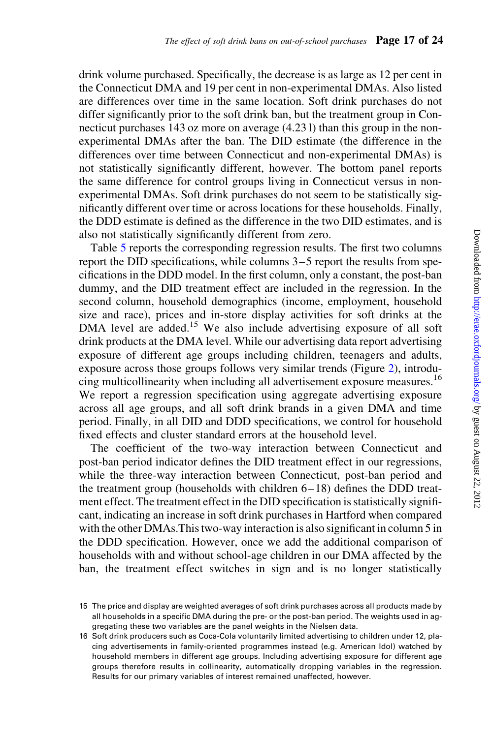drink volume purchased. Specifically, the decrease is as large as 12 per cent in the Connecticut DMA and 19 per cent in non-experimental DMAs. Also listed are differences over time in the same location. Soft drink purchases do not differ significantly prior to the soft drink ban, but the treatment group in Connecticut purchases 143 oz more on average (4.23 l) than this group in the nonexperimental DMAs after the ban. The DID estimate (the difference in the differences over time between Connecticut and non-experimental DMAs) is not statistically significantly different, however. The bottom panel reports the same difference for control groups living in Connecticut versus in nonexperimental DMAs. Soft drink purchases do not seem to be statistically significantly different over time or across locations for these households. Finally, the DDD estimate is defined as the difference in the two DID estimates, and is also not statistically significantly different from zero.

Table [5](#page-17-0) reports the corresponding regression results. The first two columns report the DID specifications, while columns 3–5 report the results from specifications in the DDD model. In the first column, only a constant, the post-ban dummy, and the DID treatment effect are included in the regression. In the second column, household demographics (income, employment, household size and race), prices and in-store display activities for soft drinks at the DMA level are added.<sup>15</sup> We also include advertising exposure of all soft drink products at the DMA level. While our advertising data report advertising exposure of different age groups including children, teenagers and adults, exposure across those groups follows very similar trends (Figure [2\)](#page-11-0), introducing multicollinearity when including all advertisement exposure measures.<sup>16</sup> We report a regression specification using aggregate advertising exposure across all age groups, and all soft drink brands in a given DMA and time period. Finally, in all DID and DDD specifications, we control for household fixed effects and cluster standard errors at the household level.

The coefficient of the two-way interaction between Connecticut and post-ban period indicator defines the DID treatment effect in our regressions, while the three-way interaction between Connecticut, post-ban period and the treatment group (households with children 6–18) defines the DDD treatment effect. The treatment effect in the DID specification is statistically significant, indicating an increase in soft drink purchases in Hartford when compared with the other DMAs. This two-way interaction is also significant in column 5 in the DDD specification. However, once we add the additional comparison of households with and without school-age children in our DMA affected by the ban, the treatment effect switches in sign and is no longer statistically

<sup>15</sup> The price and display are weighted averages of soft drink purchases across all products made by all households in a specific DMA during the pre- or the post-ban period. The weights used in aggregating these two variables are the panel weights in the Nielsen data.

<sup>16</sup> Soft drink producers such as Coca-Cola voluntarily limited advertising to children under 12, placing advertisements in family-oriented programmes instead (e.g. American Idol) watched by household members in different age groups. Including advertising exposure for different age groups therefore results in collinearity, automatically dropping variables in the regression. Results for our primary variables of interest remained unaffected, however.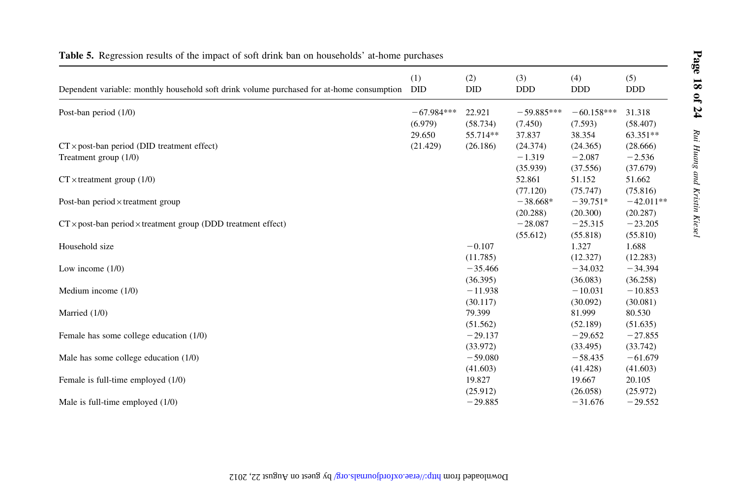| Dependent variable: monthly household soft drink volume purchased for at-home consumption | (1)<br><b>DID</b> | (2)<br>DID | (3)<br>$\rm DDD$ | (4)<br><b>DDD</b> | (5)<br><b>DDD</b> |
|-------------------------------------------------------------------------------------------|-------------------|------------|------------------|-------------------|-------------------|
| Post-ban period (1/0)                                                                     | $-67.984***$      | 22.921     | $-59.885***$     | $-60.158***$      | 31.318            |
|                                                                                           | (6.979)           | (58.734)   | (7.450)          | (7.593)           | (58.407)          |
|                                                                                           | 29.650            | 55.714**   | 37.837           | 38.354            | 63.351**          |
| $CT \times post$ -ban period (DID treatment effect)                                       | (21.429)          | (26.186)   | (24.374)         | (24.365)          | (28.666)          |
| Treatment group $(1/0)$                                                                   |                   |            | $-1.319$         | $-2.087$          | $-2.536$          |
|                                                                                           |                   |            | (35.939)         | (37.556)          | (37.679)          |
| $CT \times$ treatment group (1/0)                                                         |                   |            | 52.861           | 51.152            | 51.662            |
|                                                                                           |                   |            | (77.120)         | (75.747)          | (75.816)          |
| Post-ban period $\times$ treatment group                                                  |                   |            | $-38.668*$       | $-39.751*$        | $-42.011**$       |
|                                                                                           |                   |            | (20.288)         | (20.300)          | (20.287)          |
| $CT \times$ post-ban period $\times$ treatment group (DDD treatment effect)               |                   |            | $-28.087$        | $-25.315$         | $-23.205$         |
|                                                                                           |                   |            | (55.612)         | (55.818)          | (55.810)          |
| Household size                                                                            |                   | $-0.107$   |                  | 1.327             | 1.688             |
|                                                                                           |                   | (11.785)   |                  | (12.327)          | (12.283)          |
| Low income $(1/0)$                                                                        |                   | $-35.466$  |                  | $-34.032$         | $-34.394$         |
|                                                                                           |                   | (36.395)   |                  | (36.083)          | (36.258)          |
| Medium income $(1/0)$                                                                     |                   | $-11.938$  |                  | $-10.031$         | $-10.853$         |
|                                                                                           |                   | (30.117)   |                  | (30.092)          | (30.081)          |
| Married (1/0)                                                                             |                   | 79.399     |                  | 81.999            | 80.530            |
|                                                                                           |                   | (51.562)   |                  | (52.189)          | (51.635)          |
| Female has some college education (1/0)                                                   |                   | $-29.137$  |                  | $-29.652$         | $-27.855$         |
|                                                                                           |                   | (33.972)   |                  | (33.495)          | (33.742)          |
| Male has some college education (1/0)                                                     |                   | $-59.080$  |                  | $-58.435$         | $-61.679$         |
|                                                                                           |                   | (41.603)   |                  | (41.428)          | (41.603)          |
| Female is full-time employed (1/0)                                                        |                   | 19.827     |                  | 19.667            | 20.105            |
|                                                                                           |                   | (25.912)   |                  | (26.058)          | (25.972)          |
| Male is full-time employed $(1/0)$                                                        |                   | $-29.885$  |                  | $-31.676$         | $-29.552$         |

#### <span id="page-17-0"></span>Table 5. Regression results of the impact of soft drink ban on households' at-home purchases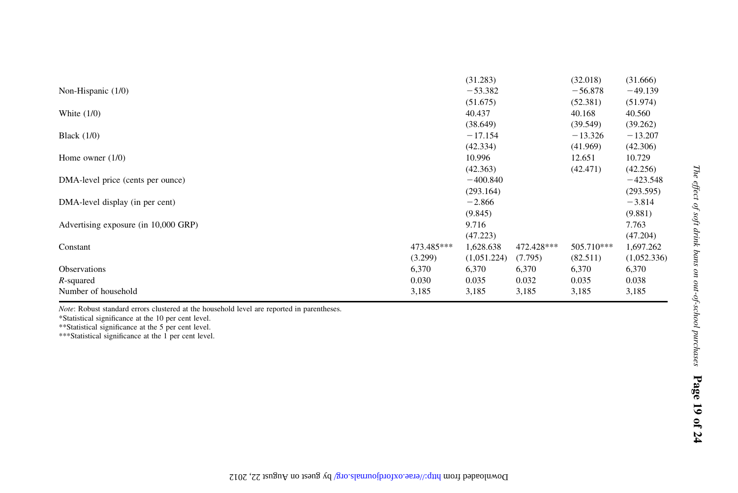|                                      |            | (31.283)    |            | (32.018)   | (31.666)    |
|--------------------------------------|------------|-------------|------------|------------|-------------|
| Non-Hispanic (1/0)                   |            | $-53.382$   |            | $-56.878$  | $-49.139$   |
|                                      |            | (51.675)    |            | (52.381)   | (51.974)    |
| White $(1/0)$                        |            | 40.437      |            | 40.168     | 40.560      |
|                                      |            | (38.649)    |            | (39.549)   | (39.262)    |
| Black $(1/0)$                        |            | $-17.154$   |            | $-13.326$  | $-13.207$   |
|                                      |            | (42.334)    |            | (41.969)   | (42.306)    |
| Home owner $(1/0)$                   |            | 10.996      |            | 12.651     | 10.729      |
|                                      |            | (42.363)    |            | (42.471)   | (42.256)    |
| DMA-level price (cents per ounce)    |            | $-400.840$  |            |            | $-423.548$  |
|                                      |            | (293.164)   |            |            | (293.595)   |
| DMA-level display (in per cent)      |            | $-2.866$    |            |            | $-3.814$    |
|                                      |            | (9.845)     |            |            | (9.881)     |
| Advertising exposure (in 10,000 GRP) |            | 9.716       |            |            | 7.763       |
|                                      |            | (47.223)    |            |            | (47.204)    |
| Constant                             | 473.485*** | 1.628.638   | 472.428*** | 505.710*** | 1,697.262   |
|                                      | (3.299)    | (1,051.224) | (7.795)    | (82.511)   | (1,052.336) |
| Observations                         | 6,370      | 6,370       | 6,370      | 6,370      | 6,370       |
| $R$ -squared                         | 0.030      | 0.035       | 0.032      | 0.035      | 0.038       |
| Number of household                  | 3,185      | 3,185       | 3,185      | 3,185      | 3,185       |

Note: Robust standard errors clustered at the household level are reported in parentheses.

\*Statistical significance at the 10 per cent level.

\*\*Statistical significance at the 5 per cent level. \*\*\*Statistical significance at the 1 per cent level.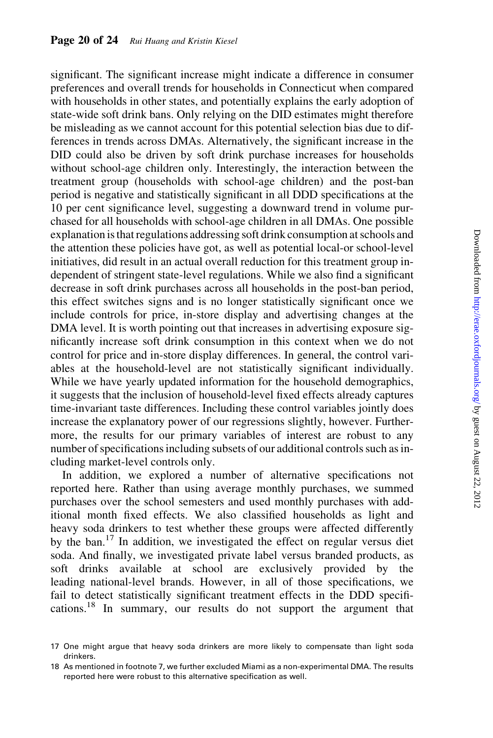significant. The significant increase might indicate a difference in consumer preferences and overall trends for households in Connecticut when compared with households in other states, and potentially explains the early adoption of state-wide soft drink bans. Only relying on the DID estimates might therefore be misleading as we cannot account for this potential selection bias due to differences in trends across DMAs. Alternatively, the significant increase in the DID could also be driven by soft drink purchase increases for households without school-age children only. Interestingly, the interaction between the treatment group (households with school-age children) and the post-ban period is negative and statistically significant in all DDD specifications at the 10 per cent significance level, suggesting a downward trend in volume purchased for all households with school-age children in all DMAs. One possible explanation is that regulations addressing soft drink consumption at schools and the attention these policies have got, as well as potential local-or school-level initiatives, did result in an actual overall reduction for this treatment group independent of stringent state-level regulations. While we also find a significant decrease in soft drink purchases across all households in the post-ban period, this effect switches signs and is no longer statistically significant once we include controls for price, in-store display and advertising changes at the DMA level. It is worth pointing out that increases in advertising exposure significantly increase soft drink consumption in this context when we do not control for price and in-store display differences. In general, the control variables at the household-level are not statistically significant individually. While we have yearly updated information for the household demographics, it suggests that the inclusion of household-level fixed effects already captures time-invariant taste differences. Including these control variables jointly does increase the explanatory power of our regressions slightly, however. Furthermore, the results for our primary variables of interest are robust to any number of specifications including subsets of our additional controls such as including market-level controls only.

In addition, we explored a number of alternative specifications not reported here. Rather than using average monthly purchases, we summed purchases over the school semesters and used monthly purchases with additional month fixed effects. We also classified households as light and heavy soda drinkers to test whether these groups were affected differently by the ban.<sup>17</sup> In addition, we investigated the effect on regular versus diet soda. And finally, we investigated private label versus branded products, as soft drinks available at school are exclusively provided by the leading national-level brands. However, in all of those specifications, we fail to detect statistically significant treatment effects in the DDD specifications.18 In summary, our results do not support the argument that

<sup>17</sup> One might argue that heavy soda drinkers are more likely to compensate than light soda drinkers.

<sup>18</sup> As mentioned in footnote 7, we further excluded Miami as a non-experimental DMA. The results reported here were robust to this alternative specification as well.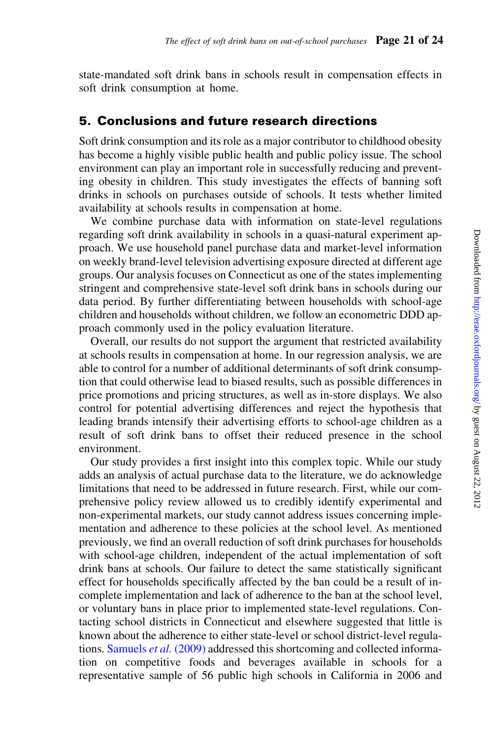state-mandated soft drink bans in schools result in compensation effects in soft drink consumption at home.

## 5. Conclusions and future research directions

Soft drink consumption and its role as a major contributor to childhood obesity has become a highly visible public health and public policy issue. The school environment can play an important role in successfully reducing and preventing obesity in children. This study investigates the effects of banning soft drinks in schools on purchases outside of schools. It tests whether limited availability at schools results in compensation at home.

We combine purchase data with information on state-level regulations regarding soft drink availability in schools in a quasi-natural experiment approach. We use household panel purchase data and market-level information on weekly brand-level television advertising exposure directed at different age groups. Our analysis focuses on Connecticut as one of the states implementing stringent and comprehensive state-level soft drink bans in schools during our data period. By further differentiating between households with school-age children and households without children, we follow an econometric DDD approach commonly used in the policy evaluation literature.

Overall, our results do not support the argument that restricted availability at schools results in compensation at home. In our regression analysis, we are able to control for a number of additional determinants of soft drink consumption that could otherwise lead to biased results, such as possible differences in price promotions and pricing structures, as well as in-store displays. We also control for potential advertising differences and reject the hypothesis that leading brands intensify their advertising efforts to school-age children as a result of soft drink bans to offset their reduced presence in the school environment.

Our study provides a first insight into this complex topic. While our study adds an analysis of actual purchase data to the literature, we do acknowledge limitations that need to be addressed in future research. First, while our comprehensive policy review allowed us to credibly identify experimental and non-experimental markets, our study cannot address issues concerning implementation and adherence to these policies at the school level. As mentioned previously, we find an overall reduction of soft drink purchases for households with school-age children, independent of the actual implementation of soft drink bans at schools. Our failure to detect the same statistically significant effect for households specifically affected by the ban could be a result of incomplete implementation and lack of adherence to the ban at the school level, or voluntary bans in place prior to implemented state-level regulations. Contacting school districts in Connecticut and elsewhere suggested that little is known about the adherence to either state-level or school district-level regula-tions. [Samuels](#page-23-0) *et al.* (2009) addressed this shortcoming and collected information on competitive foods and beverages available in schools for a representative sample of 56 public high schools in California in 2006 and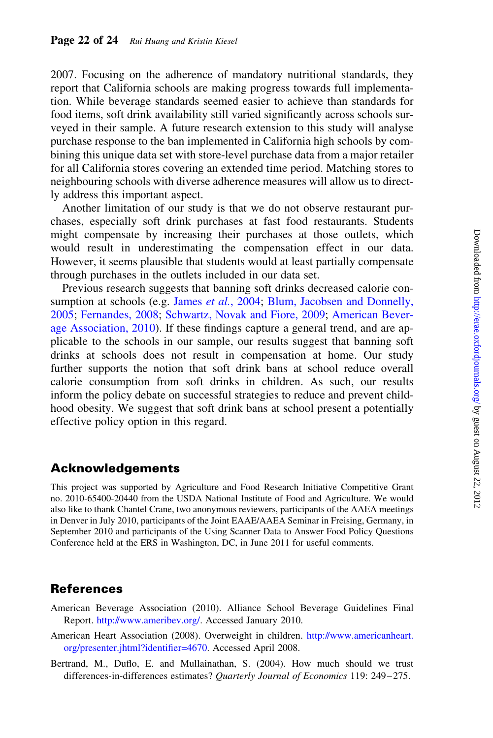<span id="page-21-0"></span>2007. Focusing on the adherence of mandatory nutritional standards, they report that California schools are making progress towards full implementation. While beverage standards seemed easier to achieve than standards for food items, soft drink availability still varied significantly across schools surveyed in their sample. A future research extension to this study will analyse purchase response to the ban implemented in California high schools by combining this unique data set with store-level purchase data from a major retailer for all California stores covering an extended time period. Matching stores to neighbouring schools with diverse adherence measures will allow us to directly address this important aspect.

Another limitation of our study is that we do not observe restaurant purchases, especially soft drink purchases at fast food restaurants. Students might compensate by increasing their purchases at those outlets, which would result in underestimating the compensation effect in our data. However, it seems plausible that students would at least partially compensate through purchases in the outlets included in our data set.

Previous research suggests that banning soft drinks decreased calorie con-sumption at schools (e.g. James et al.[, 2004;](#page-22-0) [Blum, Jacobsen and Donnelly,](#page-22-0) [2005](#page-22-0); [Fernandes, 2008](#page-22-0); [Schwartz, Novak and Fiore, 2009;](#page-23-0) American Beverage Association, 2010). If these findings capture a general trend, and are applicable to the schools in our sample, our results suggest that banning soft drinks at schools does not result in compensation at home. Our study further supports the notion that soft drink bans at school reduce overall calorie consumption from soft drinks in children. As such, our results inform the policy debate on successful strategies to reduce and prevent childhood obesity. We suggest that soft drink bans at school present a potentially effective policy option in this regard.

## Acknowledgements

This project was supported by Agriculture and Food Research Initiative Competitive Grant no. 2010-65400-20440 from the USDA National Institute of Food and Agriculture. We would also like to thank Chantel Crane, two anonymous reviewers, participants of the AAEA meetings in Denver in July 2010, participants of the Joint EAAE/AAEA Seminar in Freising, Germany, in September 2010 and participants of the Using Scanner Data to Answer Food Policy Questions Conference held at the ERS in Washington, DC, in June 2011 for useful comments.

## References

- American Beverage Association (2010). Alliance School Beverage Guidelines Final Report. [http://www.ameribev.org/.](http://www.ameribev.org/) Accessed January 2010.
- American Heart Association (2008). Overweight in children. [http://www.americanheart.](http://www.americanheart.org/presenter.jhtml?identifier=4670) [org/presenter.jhtml?identifier=4670.](http://www.americanheart.org/presenter.jhtml?identifier=4670) Accessed April 2008.
- Bertrand, M., Duflo, E. and Mullainathan, S. (2004). How much should we trust differences-in-differences estimates? *Ouarterly Journal of Economics* 119: 249–275.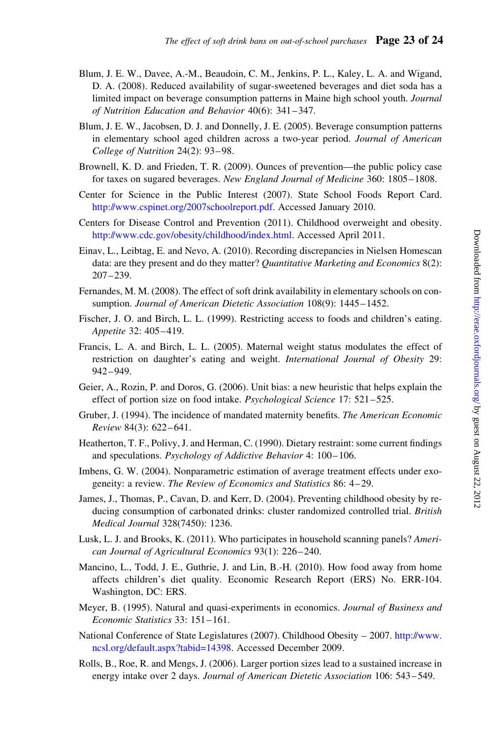- <span id="page-22-0"></span>Blum, J. E. W., Davee, A.-M., Beaudoin, C. M., Jenkins, P. L., Kaley, L. A. and Wigand, D. A. (2008). Reduced availability of sugar-sweetened beverages and diet soda has a limited impact on beverage consumption patterns in Maine high school youth. Journal of Nutrition Education and Behavior 40(6): 341– 347.
- Blum, J. E. W., Jacobsen, D. J. and Donnelly, J. E. (2005). Beverage consumption patterns in elementary school aged children across a two-year period. Journal of American College of Nutrition 24(2): 93 –98.
- Brownell, K. D. and Frieden, T. R. (2009). Ounces of prevention—the public policy case for taxes on sugared beverages. New England Journal of Medicine 360: 1805–1808.
- Center for Science in the Public Interest (2007). State School Foods Report Card. [http://www.cspinet.org/2007schoolreport.pdf.](http://www.cspinet.org/2007schoolreport.pdf) Accessed January 2010.
- Centers for Disease Control and Prevention (2011). Childhood overweight and obesity. <http://www.cdc.gov/obesity/childhood/index.html>. Accessed April 2011.
- Einav, L., Leibtag, E. and Nevo, A. (2010). Recording discrepancies in Nielsen Homescan data: are they present and do they matter? Quantitative Marketing and Economics 8(2):  $207 - 239.$
- Fernandes, M. M. (2008). The effect of soft drink availability in elementary schools on consumption. Journal of American Dietetic Association 108(9): 1445–1452.
- Fischer, J. O. and Birch, L. L. (1999). Restricting access to foods and children's eating. Appetite 32: 405 –419.
- Francis, L. A. and Birch, L. L. (2005). Maternal weight status modulates the effect of restriction on daughter's eating and weight. International Journal of Obesity 29: 942 –949.
- Geier, A., Rozin, P. and Doros, G. (2006). Unit bias: a new heuristic that helps explain the effect of portion size on food intake. Psychological Science 17: 521-525.
- Gruber, J. (1994). The incidence of mandated maternity benefits. The American Economic Review 84(3): 622 –641.
- Heatherton, T. F., Polivy, J. and Herman, C. (1990). Dietary restraint: some current findings and speculations. Psychology of Addictive Behavior 4: 100-106.
- Imbens, G. W. (2004). Nonparametric estimation of average treatment effects under exogeneity: a review. The Review of Economics and Statistics 86: 4–29.
- James, J., Thomas, P., Cavan, D. and Kerr, D. (2004). Preventing childhood obesity by reducing consumption of carbonated drinks: cluster randomized controlled trial. British Medical Journal 328(7450): 1236.
- Lusk, L. J. and Brooks, K. (2011). Who participates in household scanning panels? American Journal of Agricultural Economics 93(1): 226-240.
- Mancino, L., Todd, J. E., Guthrie, J. and Lin, B.-H. (2010). How food away from home affects children's diet quality. Economic Research Report (ERS) No. ERR-104. Washington, DC: ERS.
- Meyer, B. (1995). Natural and quasi-experiments in economics. Journal of Business and Economic Statistics 33: 151 –161.
- National Conference of State Legislatures (2007). Childhood Obesity 2007. [http://www.](http://www.ncsl.org/default.aspx?tabid=14398) [ncsl.org/default.aspx?tabid=14398.](http://www.ncsl.org/default.aspx?tabid=14398) Accessed December 2009.
- Rolls, B., Roe, R. and Mengs, J. (2006). Larger portion sizes lead to a sustained increase in energy intake over 2 days. Journal of American Dietetic Association 106: 543–549.